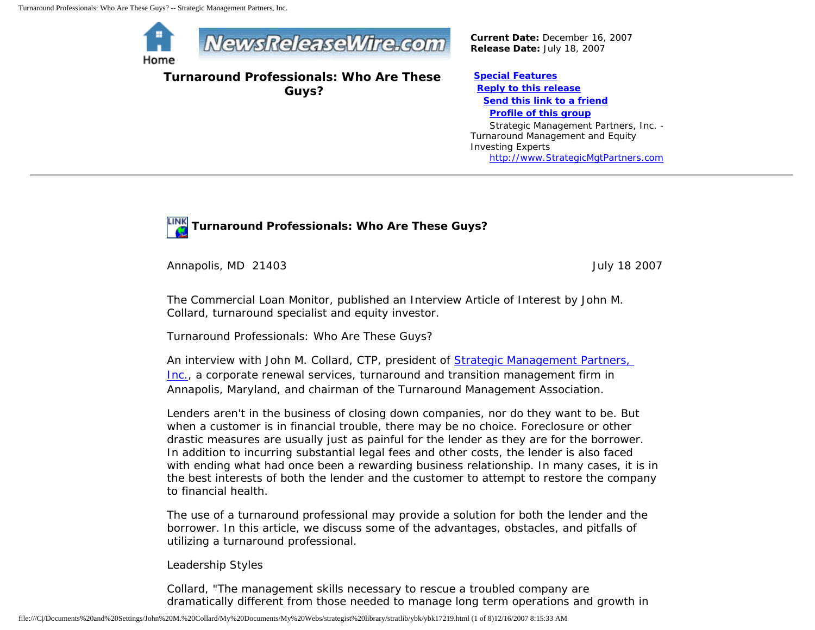

**Turnaround Professionals: Who Are These Guys?**

*Current Date:* December 16, 2007 *Release Date:* July 18, 2007

**[Special Features](javascript:openlittleme() [Reply to this release](file:///C|/Documents%20and%20Settings/John%20M.%20Collard/My%20Documents/My%20Webs/strategist%20library/stratlib/ybk/default.cfm?Action=ReplyRelease&Id=17219) [Send this link to a friend](file:///C|/Documents%20and%20Settings/John%20M.%20Collard/My%20Documents/My%20Webs/strategist%20library/stratlib/ybk/default.cfm?Action=SendLink&SendId=17219) [Profile of this group](file:///C|/Documents%20and%20Settings/John%20M.%20Collard/My%20Documents/My%20Webs/strategist%20library/stratlib/ybk/default.cfm?Action=Profile&ProfileId=623)** Strategic Management Partners, Inc. - Turnaround Management and Equity Investing Experts

[http://www.StrategicMgtPartners.com](http://www.strategicmgtpartners.com/)



Annapolis, MD 21403 July 18 2007

The Commercial Loan Monitor, published an Interview Article of Interest by John M. Collard, turnaround specialist and equity investor.

Turnaround Professionals: Who Are These Guys?

An interview with John M. Collard, CTP, president of [Strategic Management Partners,](http://www.strategicmgtpartners.com/) [Inc.,](http://www.strategicmgtpartners.com/) a corporate renewal services, turnaround and transition management firm in Annapolis, Maryland, and chairman of the Turnaround Management Association.

Lenders aren't in the business of closing down companies, nor do they want to be. But when a customer is in financial trouble, there may be no choice. Foreclosure or other drastic measures are usually just as painful for the lender as they are for the borrower. In addition to incurring substantial legal fees and other costs, the lender is also faced with ending what had once been a rewarding business relationship. In many cases, it is in the best interests of both the lender and the customer to attempt to restore the company to financial health.

The use of a turnaround professional may provide a solution for both the lender and the borrower. In this article, we discuss some of the advantages, obstacles, and pitfalls of utilizing a turnaround professional.

Leadership Styles

Collard, "The management skills necessary to rescue a troubled company are dramatically different from those needed to manage long term operations and growth in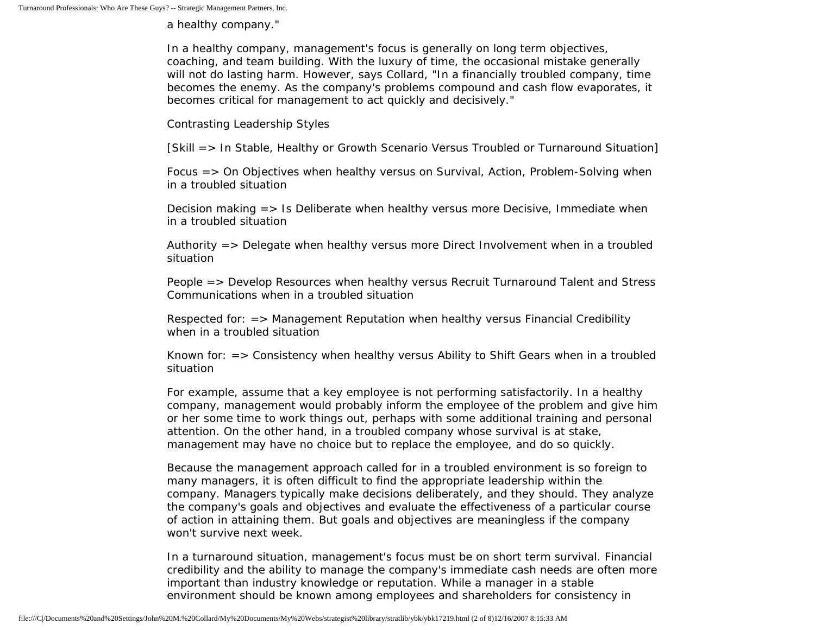a healthy company."

In a healthy company, management's focus is generally on long term objectives, coaching, and team building. With the luxury of time, the occasional mistake generally will not do lasting harm. However, says Collard, "In a financially troubled company, time becomes the enemy. As the company's problems compound and cash flow evaporates, it becomes critical for management to act quickly and decisively."

Contrasting Leadership Styles

[Skill => In Stable, Healthy or Growth Scenario Versus Troubled or Turnaround Situation]

Focus => On Objectives when healthy versus on Survival, Action, Problem-Solving when in a troubled situation

Decision making => Is Deliberate when healthy versus more Decisive, Immediate when in a troubled situation

Authority => Delegate when healthy versus more Direct Involvement when in a troubled situation

People => Develop Resources when healthy versus Recruit Turnaround Talent and Stress Communications when in a troubled situation

Respected for: => Management Reputation when healthy versus Financial Credibility when in a troubled situation

Known for: => Consistency when healthy versus Ability to Shift Gears when in a troubled situation

For example, assume that a key employee is not performing satisfactorily. In a healthy company, management would probably inform the employee of the problem and give him or her some time to work things out, perhaps with some additional training and personal attention. On the other hand, in a troubled company whose survival is at stake, management may have no choice but to replace the employee, and do so quickly.

Because the management approach called for in a troubled environment is so foreign to many managers, it is often difficult to find the appropriate leadership within the company. Managers typically make decisions deliberately, and they should. They analyze the company's goals and objectives and evaluate the effectiveness of a particular course of action in attaining them. But goals and objectives are meaningless if the company won't survive next week.

In a turnaround situation, management's focus must be on short term survival. Financial credibility and the ability to manage the company's immediate cash needs are often more important than industry knowledge or reputation. While a manager in a stable environment should be known among employees and shareholders for consistency in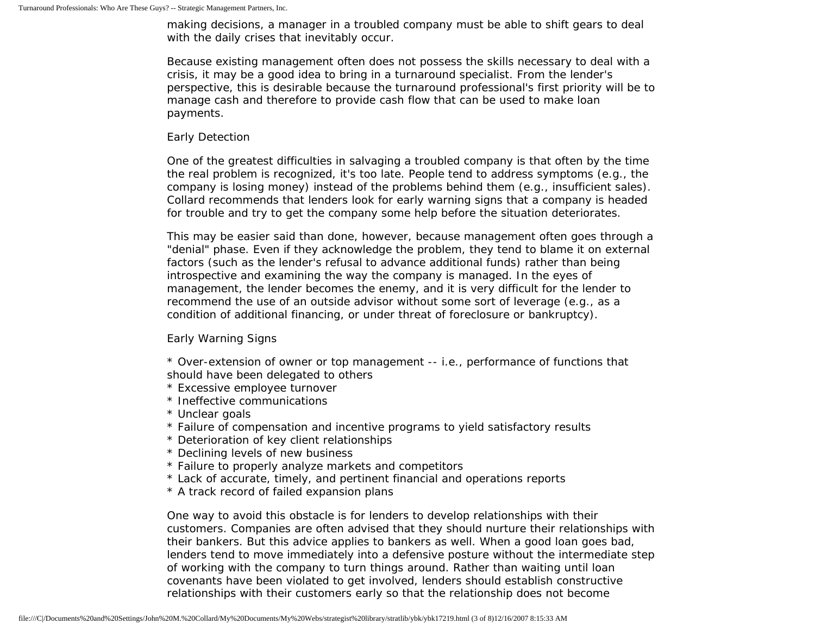making decisions, a manager in a troubled company must be able to shift gears to deal with the daily crises that inevitably occur.

Because existing management often does not possess the skills necessary to deal with a crisis, it may be a good idea to bring in a turnaround specialist. From the lender's perspective, this is desirable because the turnaround professional's first priority will be to manage cash and therefore to provide cash flow that can be used to make loan payments.

## Early Detection

One of the greatest difficulties in salvaging a troubled company is that often by the time the real problem is recognized, it's too late. People tend to address symptoms (e.g., the company is losing money) instead of the problems behind them (e.g., insufficient sales). Collard recommends that lenders look for early warning signs that a company is headed for trouble and try to get the company some help before the situation deteriorates.

This may be easier said than done, however, because management often goes through a "denial" phase. Even if they acknowledge the problem, they tend to blame it on external factors (such as the lender's refusal to advance additional funds) rather than being introspective and examining the way the company is managed. In the eyes of management, the lender becomes the enemy, and it is very difficult for the lender to recommend the use of an outside advisor without some sort of leverage (e.g., as a condition of additional financing, or under threat of foreclosure or bankruptcy).

Early Warning Signs

\* Over-extension of owner or top management -- i.e., performance of functions that should have been delegated to others

- \* Excessive employee turnover
- \* Ineffective communications
- \* Unclear goals
- \* Failure of compensation and incentive programs to yield satisfactory results
- \* Deterioration of key client relationships
- \* Declining levels of new business
- \* Failure to properly analyze markets and competitors
- \* Lack of accurate, timely, and pertinent financial and operations reports
- \* A track record of failed expansion plans

One way to avoid this obstacle is for lenders to develop relationships with their customers. Companies are often advised that they should nurture their relationships with their bankers. But this advice applies to bankers as well. When a good loan goes bad, lenders tend to move immediately into a defensive posture without the intermediate step of working with the company to turn things around. Rather than waiting until loan covenants have been violated to get involved, lenders should establish constructive relationships with their customers early so that the relationship does not become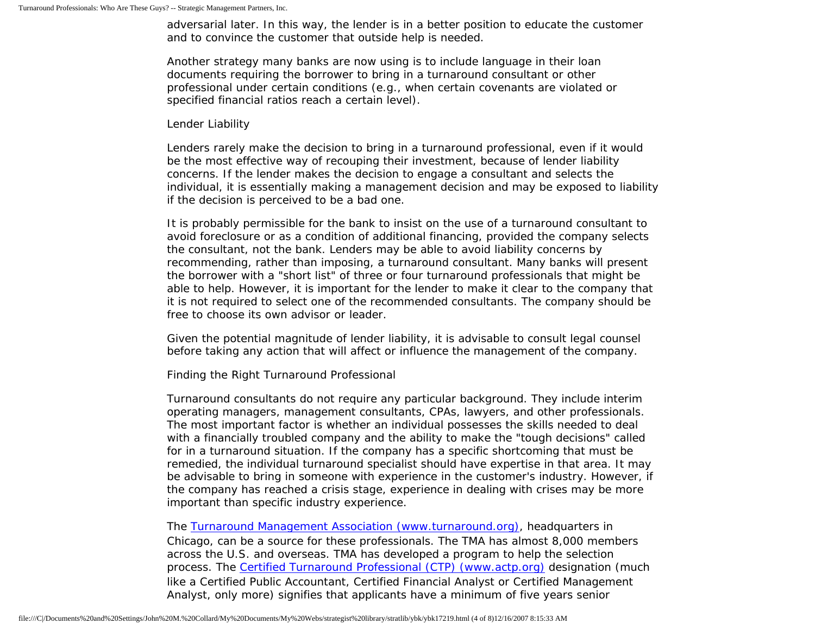adversarial later. In this way, the lender is in a better position to educate the customer and to convince the customer that outside help is needed.

Another strategy many banks are now using is to include language in their loan documents requiring the borrower to bring in a turnaround consultant or other professional under certain conditions (e.g., when certain covenants are violated or specified financial ratios reach a certain level).

## Lender Liability

Lenders rarely make the decision to bring in a turnaround professional, even if it would be the most effective way of recouping their investment, because of lender liability concerns. If the lender makes the decision to engage a consultant and selects the individual, it is essentially making a management decision and may be exposed to liability if the decision is perceived to be a bad one.

It is probably permissible for the bank to insist on the use of a turnaround consultant to avoid foreclosure or as a condition of additional financing, provided the company selects the consultant, not the bank. Lenders may be able to avoid liability concerns by recommending, rather than imposing, a turnaround consultant. Many banks will present the borrower with a "short list" of three or four turnaround professionals that might be able to help. However, it is important for the lender to make it clear to the company that it is not required to select one of the recommended consultants. The company should be free to choose its own advisor or leader.

Given the potential magnitude of lender liability, it is advisable to consult legal counsel before taking any action that will affect or influence the management of the company.

Finding the Right Turnaround Professional

Turnaround consultants do not require any particular background. They include interim operating managers, management consultants, CPAs, lawyers, and other professionals. The most important factor is whether an individual possesses the skills needed to deal with a financially troubled company and the ability to make the "tough decisions" called for in a turnaround situation. If the company has a specific shortcoming that must be remedied, the individual turnaround specialist should have expertise in that area. It may be advisable to bring in someone with experience in the customer's industry. However, if the company has reached a crisis stage, experience in dealing with crises may be more important than specific industry experience.

The [Turnaround Management Association \(www.turnaround.org\),](http://www.turnaround.org/) headquarters in Chicago, can be a source for these professionals. The TMA has almost 8,000 members across the U.S. and overseas. TMA has developed a program to help the selection process. The [Certified Turnaround Professional \(CTP\) \(www.actp.org\)](http://www.turnaround.org/) designation (much like a Certified Public Accountant, Certified Financial Analyst or Certified Management Analyst, only more) signifies that applicants have a minimum of five years senior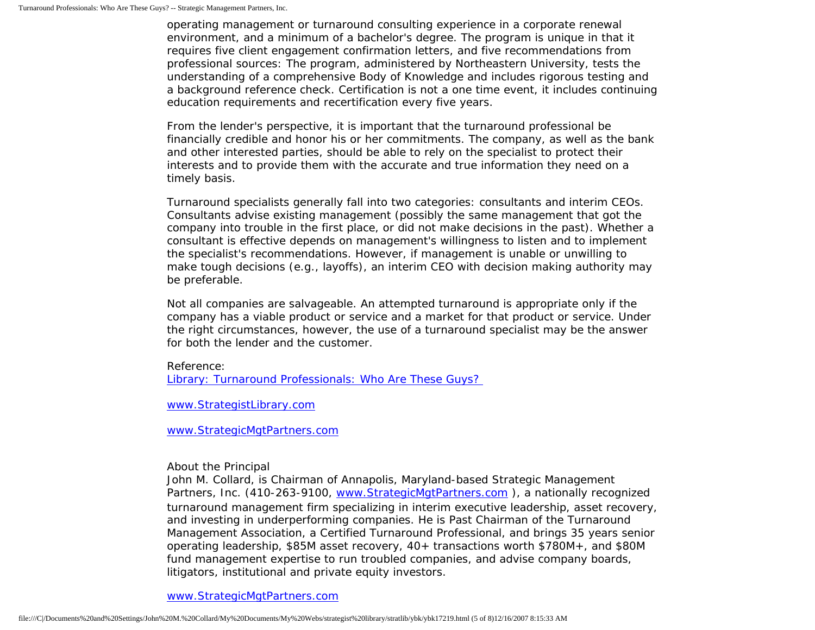operating management or turnaround consulting experience in a corporate renewal environment, and a minimum of a bachelor's degree. The program is unique in that it requires five client engagement confirmation letters, and five recommendations from professional sources: The program, administered by Northeastern University, tests the understanding of a comprehensive Body of Knowledge and includes rigorous testing and a background reference check. Certification is not a one time event, it includes continuing education requirements and recertification every five years.

From the lender's perspective, it is important that the turnaround professional be financially credible and honor his or her commitments. The company, as well as the bank and other interested parties, should be able to rely on the specialist to protect their interests and to provide them with the accurate and true information they need on a timely basis.

Turnaround specialists generally fall into two categories: consultants and interim CEOs. Consultants advise existing management (possibly the same management that got the company into trouble in the first place, or did not make decisions in the past). Whether a consultant is effective depends on management's willingness to listen and to implement the specialist's recommendations. However, if management is unable or unwilling to make tough decisions (e.g., layoffs), an interim CEO with decision making authority may be preferable.

Not all companies are salvageable. An attempted turnaround is appropriate only if the company has a viable product or service and a market for that product or service. Under the right circumstances, however, the use of a turnaround specialist may be the answer for both the lender and the customer.

Reference: Library: Turnaround Professionals: Who Are These Guys?

[www.StrategistLibrary.com](http://www.strategistlibrary.com/)

[www.StrategicMgtPartners.com](http://www.strategicmgtpartners.com/)

About the Principal

John M. Collard, is Chairman of Annapolis, Maryland-based Strategic Management Partners, Inc. (410-263-9100, www.StrategicMgtPartners.com), a nationally recognized turnaround management firm specializing in interim executive leadership, asset recovery, and investing in underperforming companies. He is Past Chairman of the Turnaround Management Association, a Certified Turnaround Professional, and brings 35 years senior operating leadership, \$85M asset recovery, 40+ transactions worth \$780M+, and \$80M fund management expertise to run troubled companies, and advise company boards, litigators, institutional and private equity investors.

[www.StrategicMgtPartners.com](http://www.strategicmgtpartners.com/)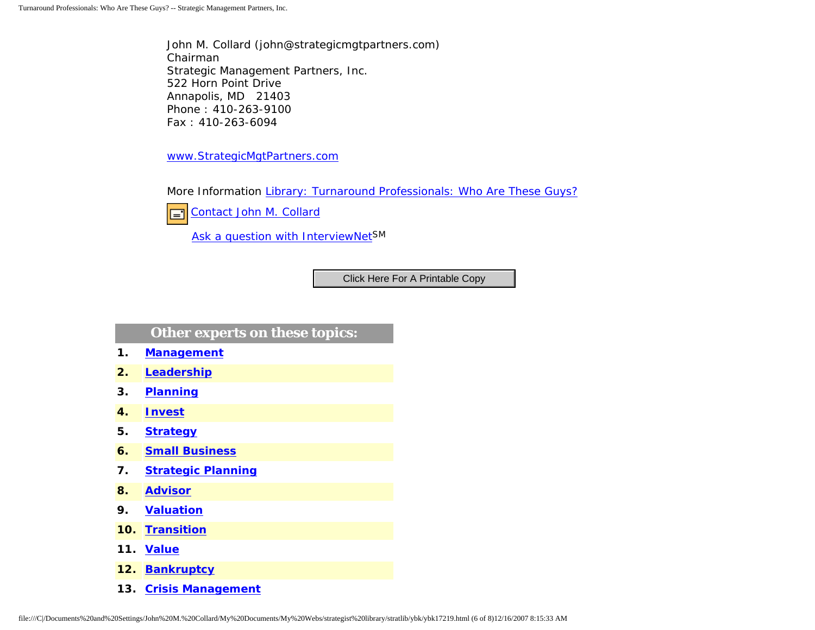John M. Collard (john@strategicmgtpartners.com) Chairman Strategic Management Partners, Inc. 522 Horn Point Drive Annapolis, MD 21403 Phone : 410-263-9100 Fax : 410-263-6094

[www.StrategicMgtPartners.com](http://www.strategicmgtpartners.com/)

More Information [Library: Turnaround Professionals: Who Are These Guys?](http://members.aol.com/stratlib/clm.html)



[Contact John M. Collard](http://www.expertclick.com/expertClick/contact/default.cfm?Action=ContactExpert&GroupID=1016)

[Ask a question with InterviewNetS](http://www.expertclick.com/expertClick/contact/default.cfm?GroupID=1016)M

## **Other experts on these topics:**

- **1. [Management](http://www.expertclick.com/search/default.cfm?SearchCriteria=Management)**
- **2. [Leadership](http://www.expertclick.com/search/default.cfm?SearchCriteria=Leadership)**
- **3. [Planning](http://www.expertclick.com/search/default.cfm?SearchCriteria=Planning)**
- **4. [Invest](http://www.expertclick.com/search/default.cfm?SearchCriteria=Invest)**
- **5. [Strategy](http://www.expertclick.com/search/default.cfm?SearchCriteria=Strategy)**
- **6. [Small Business](http://www.expertclick.com/search/default.cfm?SearchCriteria=Small Business)**
- **7. [Strategic Planning](http://www.expertclick.com/search/default.cfm?SearchCriteria=Strategic Planning)**
- **8. [Advisor](http://www.expertclick.com/search/default.cfm?SearchCriteria=Advisor)**
- **9. [Valuation](http://www.expertclick.com/search/default.cfm?SearchCriteria=Valuation)**
- **10. [Transition](http://www.expertclick.com/search/default.cfm?SearchCriteria=Transition)**
- **11. [Value](http://www.expertclick.com/search/default.cfm?SearchCriteria=Value)**
- **12. [Bankruptcy](http://www.expertclick.com/search/default.cfm?SearchCriteria=Bankruptcy)**
- **13. [Crisis Management](http://www.expertclick.com/search/default.cfm?SearchCriteria=Crisis Management)**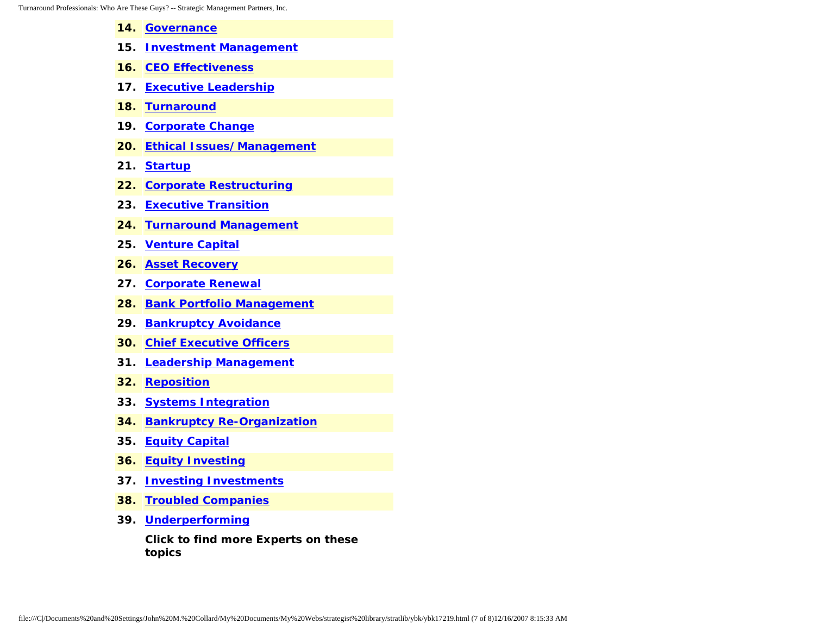- **14. [Governance](http://www.expertclick.com/search/default.cfm?SearchCriteria=Governance)**
- **15. [Investment Management](http://www.expertclick.com/search/default.cfm?SearchCriteria=Investment Management)**
- **16. [CEO Effectiveness](http://www.expertclick.com/search/default.cfm?SearchCriteria=CEO Effectiveness)**
- **17. [Executive Leadership](http://www.expertclick.com/search/default.cfm?SearchCriteria=Executive Leadership)**
- **18. [Turnaround](http://www.expertclick.com/search/default.cfm?SearchCriteria=Turnaround)**
- **19. [Corporate Change](http://www.expertclick.com/search/default.cfm?SearchCriteria=Corporate Change)**
- **20. [Ethical Issues/Management](http://www.expertclick.com/search/default.cfm?SearchCriteria=Ethical Issues/Management)**
- **21. [Startup](http://www.expertclick.com/search/default.cfm?SearchCriteria=Startup)**
- **22. [Corporate Restructuring](http://www.expertclick.com/search/default.cfm?SearchCriteria=Corporate Restructuring)**
- **23. [Executive Transition](http://www.expertclick.com/search/default.cfm?SearchCriteria=Executive Transition)**
- **24. [Turnaround Management](http://www.expertclick.com/search/default.cfm?SearchCriteria=Turnaround Management)**
- **25. [Venture Capital](http://www.expertclick.com/search/default.cfm?SearchCriteria=Venture Capital)**
- **26. [Asset Recovery](http://www.expertclick.com/search/default.cfm?SearchCriteria=Asset Recovery)**
- **27. [Corporate Renewal](http://www.expertclick.com/search/default.cfm?SearchCriteria=Corporate Renewal)**
- **28. [Bank Portfolio Management](http://www.expertclick.com/search/default.cfm?SearchCriteria=Bank Portfolio Management)**
- **29. [Bankruptcy Avoidance](http://www.expertclick.com/search/default.cfm?SearchCriteria=Bankruptcy Avoidance)**
- **30. [Chief Executive Officers](http://www.expertclick.com/search/default.cfm?SearchCriteria=Chief Executive Officers)**
- **31. [Leadership Management](http://www.expertclick.com/search/default.cfm?SearchCriteria=Leadership Management)**
- **32. [Reposition](http://www.expertclick.com/search/default.cfm?SearchCriteria=Reposition)**
- **33. [Systems Integration](http://www.expertclick.com/search/default.cfm?SearchCriteria=Systems Integration)**
- **34. [Bankruptcy Re-Organization](http://www.expertclick.com/search/default.cfm?SearchCriteria=Bankruptcy Re-Organization)**
- **35. [Equity Capital](http://www.expertclick.com/search/default.cfm?SearchCriteria=Equity Capital)**
- **36. [Equity Investing](http://www.expertclick.com/search/default.cfm?SearchCriteria=Equity Investing)**
- **37. [Investing Investments](http://www.expertclick.com/search/default.cfm?SearchCriteria=Investing Investments)**
- **38. [Troubled Companies](http://www.expertclick.com/search/default.cfm?SearchCriteria=Troubled Companies)**
- **39. [Underperforming](http://www.expertclick.com/search/default.cfm?SearchCriteria=Underperforming)**

**Click to find more Experts on these topics**